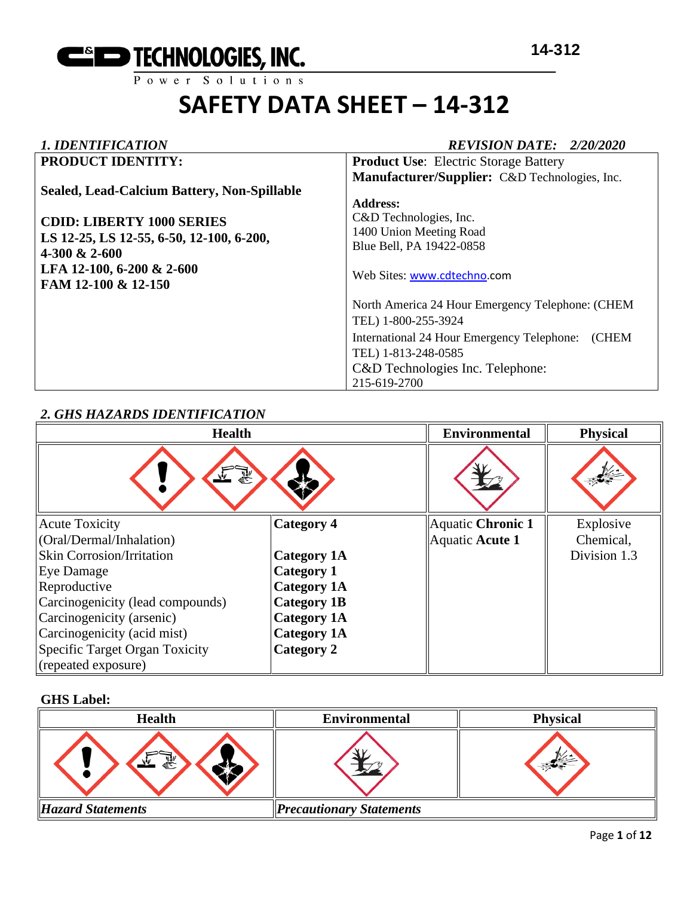

#### *1. IDENTIFICATION REVISION DATE: 2/20/2020*

| <b>PRODUCT IDENTITY:</b>                    | <b>Product Use:</b> Electric Storage Battery        |
|---------------------------------------------|-----------------------------------------------------|
|                                             | Manufacturer/Supplier: C&D Technologies, Inc.       |
| Sealed, Lead-Calcium Battery, Non-Spillable |                                                     |
|                                             | <b>Address:</b>                                     |
| <b>CDID: LIBERTY 1000 SERIES</b>            | C&D Technologies, Inc.                              |
| LS 12-25, LS 12-55, 6-50, 12-100, 6-200,    | 1400 Union Meeting Road                             |
| $4-300 \& 2-600$                            | Blue Bell, PA 19422-0858                            |
|                                             |                                                     |
| LFA 12-100, 6-200 & 2-600                   | Web Sites: www.cdtechno.com                         |
| FAM 12-100 & 12-150                         |                                                     |
|                                             | North America 24 Hour Emergency Telephone: (CHEM    |
|                                             | TEL) 1-800-255-3924                                 |
|                                             | International 24 Hour Emergency Telephone:<br>(CHEM |
|                                             | TEL) 1-813-248-0585                                 |
|                                             | C&D Technologies Inc. Telephone:                    |
|                                             | 215-619-2700                                        |

#### *2. GHS HAZARDS IDENTIFICATION*

| <b>Health</b>                    |                    | <b>Environmental</b> | <b>Physical</b> |
|----------------------------------|--------------------|----------------------|-----------------|
| وتميز                            |                    |                      |                 |
| <b>Acute Toxicity</b>            | <b>Category 4</b>  | Aquatic Chronic 1    | Explosive       |
| (Oral/Dermal/Inhalation)         |                    | Aquatic Acute 1      | Chemical,       |
| <b>Skin Corrosion/Irritation</b> | Category 1A        |                      | Division 1.3    |
| Eye Damage                       | Category 1         |                      |                 |
| Reproductive                     | <b>Category 1A</b> |                      |                 |
| Carcinogenicity (lead compounds) | <b>Category 1B</b> |                      |                 |
| Carcinogenicity (arsenic)        | <b>Category 1A</b> |                      |                 |
| Carcinogenicity (acid mist)      | <b>Category 1A</b> |                      |                 |
| Specific Target Organ Toxicity   | Category 2         |                      |                 |
| (repeated exposure)              |                    |                      |                 |

#### **GHS Label:**

| <b>Health</b>            | <b>Environmental</b>            | <b>Physical</b> |
|--------------------------|---------------------------------|-----------------|
| 氦                        |                                 |                 |
| <b>Hazard Statements</b> | <b>Precautionary Statements</b> |                 |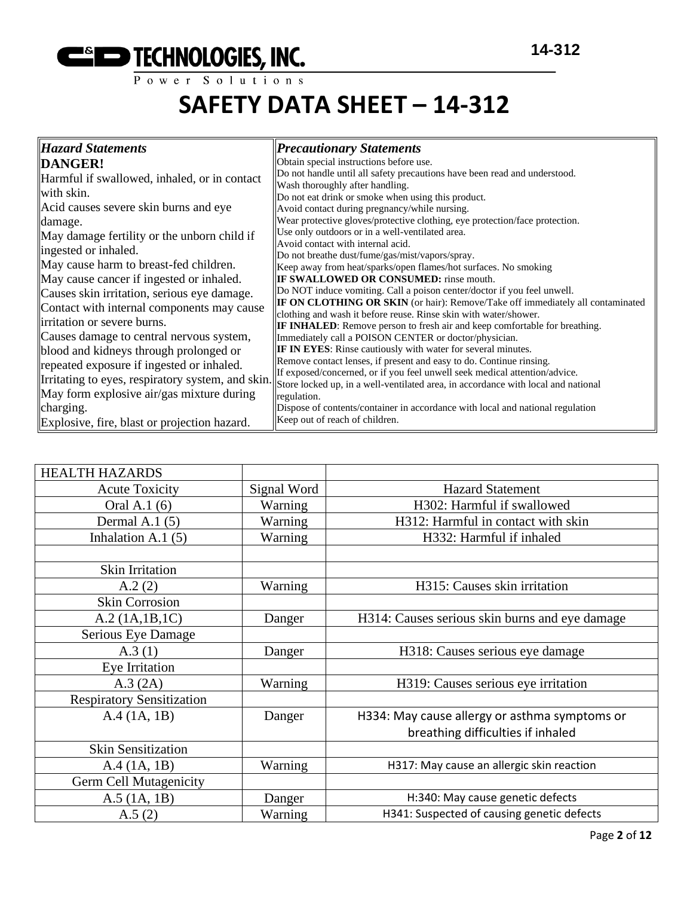

| <b>Hazard Statements</b>                         | <b>Precautionary Statements</b>                                                                                                                       |
|--------------------------------------------------|-------------------------------------------------------------------------------------------------------------------------------------------------------|
| <b>DANGER!</b>                                   | Obtain special instructions before use.                                                                                                               |
| Harmful if swallowed, inhaled, or in contact     | Do not handle until all safety precautions have been read and understood.                                                                             |
| with skin.                                       | Wash thoroughly after handling.<br>Do not eat drink or smoke when using this product.                                                                 |
| Acid causes severe skin burns and eye            | Avoid contact during pregnancy/while nursing.                                                                                                         |
| damage.                                          | Wear protective gloves/protective clothing, eye protection/face protection.                                                                           |
| May damage fertility or the unborn child if      | Use only outdoors or in a well-ventilated area.                                                                                                       |
| ingested or inhaled.                             | Avoid contact with internal acid.<br>Do not breathe dust/fume/gas/mist/vapors/spray.                                                                  |
| May cause harm to breast-fed children.           | Keep away from heat/sparks/open flames/hot surfaces. No smoking                                                                                       |
| May cause cancer if ingested or inhaled.         | <b>IF SWALLOWED OR CONSUMED:</b> rinse mouth.                                                                                                         |
| Causes skin irritation, serious eye damage.      | Do NOT induce vomiting. Call a poison center/doctor if you feel unwell.                                                                               |
| Contact with internal components may cause       | <b>IF ON CLOTHING OR SKIN</b> (or hair): Remove/Take off immediately all contaminated                                                                 |
| irritation or severe burns.                      | clothing and wash it before reuse. Rinse skin with water/shower.<br><b>IF INHALED:</b> Remove person to fresh air and keep comfortable for breathing. |
| Causes damage to central nervous system,         | Immediately call a POISON CENTER or doctor/physician.                                                                                                 |
| blood and kidneys through prolonged or           | IF IN EYES: Rinse cautiously with water for several minutes.                                                                                          |
| repeated exposure if ingested or inhaled.        | Remove contact lenses, if present and easy to do. Continue rinsing.                                                                                   |
| Irritating to eyes, respiratory system, and skin | If exposed/concerned, or if you feel unwell seek medical attention/advice.                                                                            |
| May form explosive air/gas mixture during        | Store locked up, in a well-ventilated area, in accordance with local and national<br>regulation.                                                      |
| charging.                                        | Dispose of contents/container in accordance with local and national regulation                                                                        |
| Explosive, fire, blast or projection hazard.     | Keep out of reach of children.                                                                                                                        |

| <b>HEALTH HAZARDS</b>            |             |                                                |
|----------------------------------|-------------|------------------------------------------------|
| <b>Acute Toxicity</b>            | Signal Word | <b>Hazard Statement</b>                        |
| Oral A.1 (6)                     | Warning     | H302: Harmful if swallowed                     |
| Dermal A.1 $(5)$                 | Warning     | H312: Harmful in contact with skin             |
| Inhalation A.1 $(5)$             | Warning     | H332: Harmful if inhaled                       |
|                                  |             |                                                |
| Skin Irritation                  |             |                                                |
| A.2(2)                           | Warning     | H315: Causes skin irritation                   |
| <b>Skin Corrosion</b>            |             |                                                |
| A.2 (1A.1B.1C)                   | Danger      | H314: Causes serious skin burns and eye damage |
| Serious Eye Damage               |             |                                                |
| A.3(1)                           | Danger      | H318: Causes serious eye damage                |
| Eye Irritation                   |             |                                                |
| A.3 (2A)                         | Warning     | H319: Causes serious eye irritation            |
| <b>Respiratory Sensitization</b> |             |                                                |
| A.4 (1A, 1B)                     | Danger      | H334: May cause allergy or asthma symptoms or  |
|                                  |             | breathing difficulties if inhaled              |
| <b>Skin Sensitization</b>        |             |                                                |
| A.4 (1A, 1B)                     | Warning     | H317: May cause an allergic skin reaction      |
| Germ Cell Mutagenicity           |             |                                                |
| $A.5$ (1A, 1B)                   | Danger      | H:340: May cause genetic defects               |
| A.5(2)                           | Warning     | H341: Suspected of causing genetic defects     |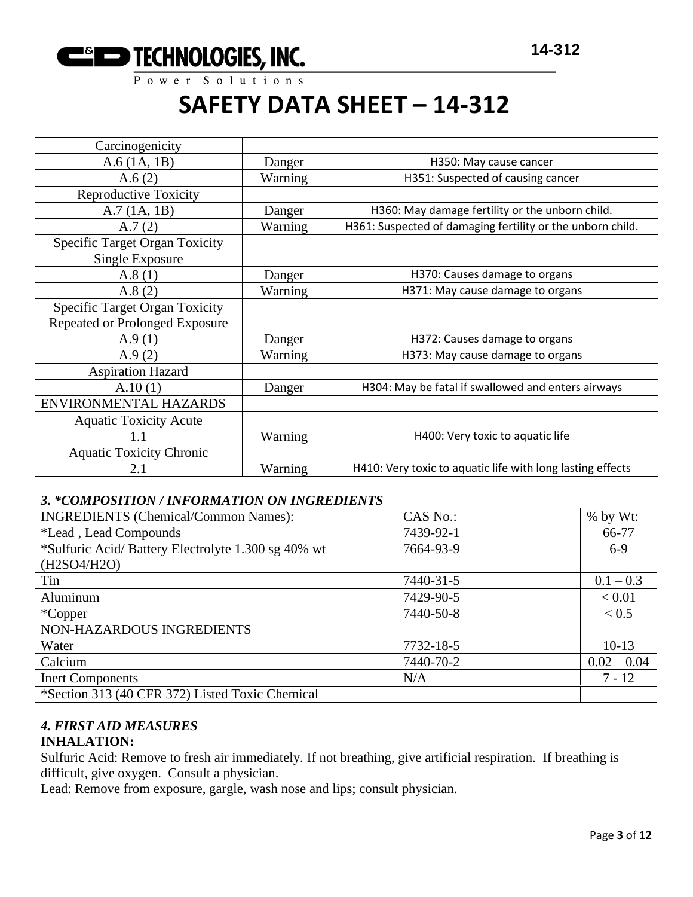

| Carcinogenicity                       |         |                                                            |
|---------------------------------------|---------|------------------------------------------------------------|
| $A.6$ (1A, 1B)                        | Danger  | H350: May cause cancer                                     |
| A.6(2)                                | Warning | H351: Suspected of causing cancer                          |
| <b>Reproductive Toxicity</b>          |         |                                                            |
| A.7(1A, 1B)                           | Danger  | H360: May damage fertility or the unborn child.            |
| A.7(2)                                | Warning | H361: Suspected of damaging fertility or the unborn child. |
| <b>Specific Target Organ Toxicity</b> |         |                                                            |
| Single Exposure                       |         |                                                            |
| A.8(1)                                | Danger  | H370: Causes damage to organs                              |
| A.8(2)                                | Warning | H371: May cause damage to organs                           |
| <b>Specific Target Organ Toxicity</b> |         |                                                            |
| <b>Repeated or Prolonged Exposure</b> |         |                                                            |
| A.9(1)                                | Danger  | H372: Causes damage to organs                              |
| A.9(2)                                | Warning | H373: May cause damage to organs                           |
| <b>Aspiration Hazard</b>              |         |                                                            |
| A.10(1)                               | Danger  | H304: May be fatal if swallowed and enters airways         |
| ENVIRONMENTAL HAZARDS                 |         |                                                            |
| <b>Aquatic Toxicity Acute</b>         |         |                                                            |
| $1.1\,$                               | Warning | H400: Very toxic to aquatic life                           |
| <b>Aquatic Toxicity Chronic</b>       |         |                                                            |
| 2.1                                   | Warning | H410: Very toxic to aquatic life with long lasting effects |

#### *3. \*COMPOSITION / INFORMATION ON INGREDIENTS*

| <b>INGREDIENTS</b> (Chemical/Common Names):        | CAS No.:  | $%$ by Wt:    |
|----------------------------------------------------|-----------|---------------|
| *Lead, Lead Compounds                              | 7439-92-1 | 66-77         |
| *Sulfuric Acid/Battery Electrolyte 1.300 sg 40% wt | 7664-93-9 | $6-9$         |
| (H2SO4/H2O)                                        |           |               |
| Tin                                                | 7440-31-5 | $0.1 - 0.3$   |
| Aluminum                                           | 7429-90-5 | < 0.01        |
| $*Copper$                                          | 7440-50-8 | < 0.5         |
| NON-HAZARDOUS INGREDIENTS                          |           |               |
| Water                                              | 7732-18-5 | $10-13$       |
| Calcium                                            | 7440-70-2 | $0.02 - 0.04$ |
| <b>Inert Components</b>                            | N/A       | $7 - 12$      |
| *Section 313 (40 CFR 372) Listed Toxic Chemical    |           |               |

#### *4. FIRST AID MEASURES* **INHALATION:**

Sulfuric Acid: Remove to fresh air immediately. If not breathing, give artificial respiration. If breathing is difficult, give oxygen. Consult a physician.

Lead: Remove from exposure, gargle, wash nose and lips; consult physician.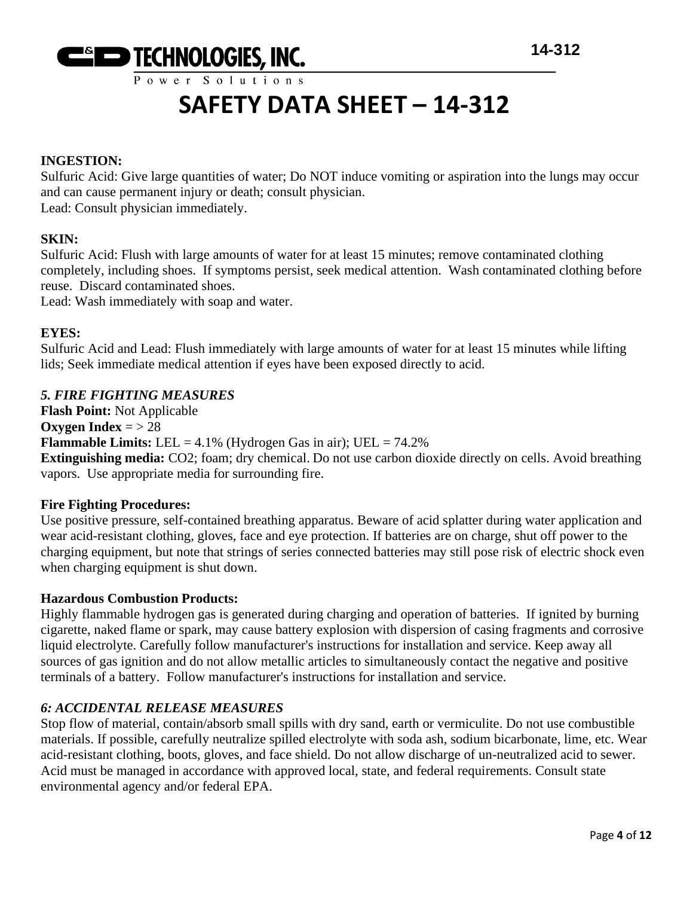

#### **INGESTION:**

Sulfuric Acid: Give large quantities of water; Do NOT induce vomiting or aspiration into the lungs may occur and can cause permanent injury or death; consult physician.

Lead: Consult physician immediately.

#### **SKIN:**

Sulfuric Acid: Flush with large amounts of water for at least 15 minutes; remove contaminated clothing completely, including shoes. If symptoms persist, seek medical attention. Wash contaminated clothing before reuse. Discard contaminated shoes.

Lead: Wash immediately with soap and water.

#### **EYES:**

Sulfuric Acid and Lead: Flush immediately with large amounts of water for at least 15 minutes while lifting lids; Seek immediate medical attention if eyes have been exposed directly to acid.

#### *5. FIRE FIGHTING MEASURES*

**Flash Point:** Not Applicable **Oxygen Index** = > 28 **Flammable Limits:** LEL =  $4.1\%$  (Hydrogen Gas in air); UEL =  $74.2\%$ 

**Extinguishing media:** CO2; foam; dry chemical. Do not use carbon dioxide directly on cells. Avoid breathing vapors. Use appropriate media for surrounding fire.

#### **Fire Fighting Procedures:**

Use positive pressure, self-contained breathing apparatus. Beware of acid splatter during water application and wear acid-resistant clothing, gloves, face and eye protection. If batteries are on charge, shut off power to the charging equipment, but note that strings of series connected batteries may still pose risk of electric shock even when charging equipment is shut down.

#### **Hazardous Combustion Products:**

Highly flammable hydrogen gas is generated during charging and operation of batteries. If ignited by burning cigarette, naked flame or spark, may cause battery explosion with dispersion of casing fragments and corrosive liquid electrolyte. Carefully follow manufacturer's instructions for installation and service. Keep away all sources of gas ignition and do not allow metallic articles to simultaneously contact the negative and positive terminals of a battery. Follow manufacturer's instructions for installation and service.

#### *6: ACCIDENTAL RELEASE MEASURES*

Stop flow of material, contain/absorb small spills with dry sand, earth or vermiculite. Do not use combustible materials. If possible, carefully neutralize spilled electrolyte with soda ash, sodium bicarbonate, lime, etc. Wear acid-resistant clothing, boots, gloves, and face shield. Do not allow discharge of un-neutralized acid to sewer. Acid must be managed in accordance with approved local, state, and federal requirements. Consult state environmental agency and/or federal EPA.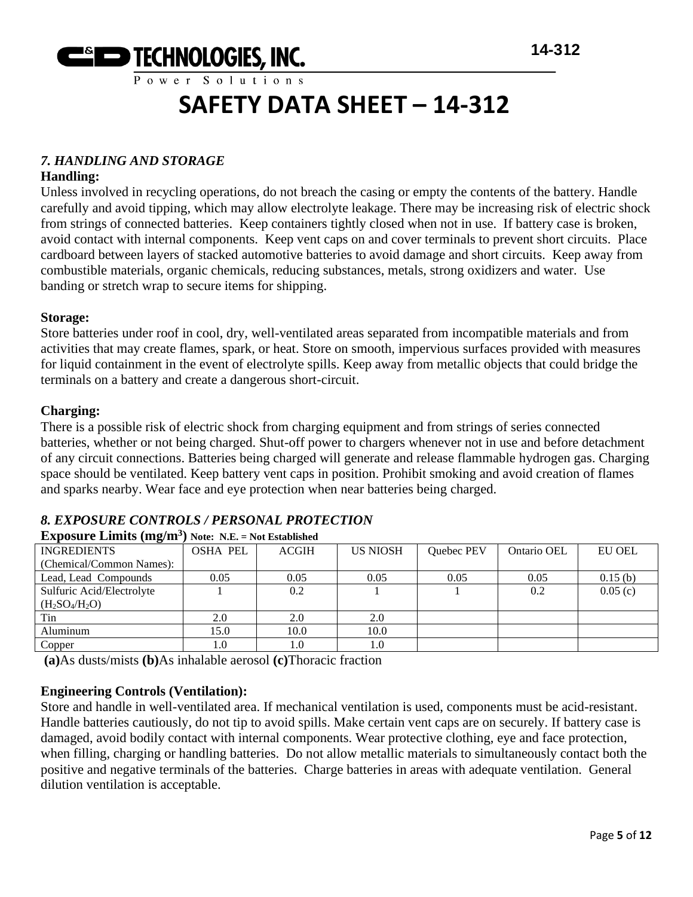

#### *7. HANDLING AND STORAGE*

#### **Handling:**

Unless involved in recycling operations, do not breach the casing or empty the contents of the battery. Handle carefully and avoid tipping, which may allow electrolyte leakage. There may be increasing risk of electric shock from strings of connected batteries. Keep containers tightly closed when not in use. If battery case is broken, avoid contact with internal components. Keep vent caps on and cover terminals to prevent short circuits. Place cardboard between layers of stacked automotive batteries to avoid damage and short circuits. Keep away from combustible materials, organic chemicals, reducing substances, metals, strong oxidizers and water. Use banding or stretch wrap to secure items for shipping.

#### **Storage:**

Store batteries under roof in cool, dry, well-ventilated areas separated from incompatible materials and from activities that may create flames, spark, or heat. Store on smooth, impervious surfaces provided with measures for liquid containment in the event of electrolyte spills. Keep away from metallic objects that could bridge the terminals on a battery and create a dangerous short-circuit.

#### **Charging:**

There is a possible risk of electric shock from charging equipment and from strings of series connected batteries, whether or not being charged. Shut-off power to chargers whenever not in use and before detachment of any circuit connections. Batteries being charged will generate and release flammable hydrogen gas. Charging space should be ventilated. Keep battery vent caps in position. Prohibit smoking and avoid creation of flames and sparks nearby. Wear face and eye protection when near batteries being charged.

#### *8. EXPOSURE CONTROLS / PERSONAL PROTECTION*

| <b>INGREDIENTS</b>        | <b>OSHA PEL</b> | <b>ACGIH</b> | <b>US NIOSH</b> | Quebec PEV | Ontario OEL | EU OEL  |
|---------------------------|-----------------|--------------|-----------------|------------|-------------|---------|
| (Chemical/Common Names):  |                 |              |                 |            |             |         |
| Lead, Lead Compounds      | 0.05            | 0.05         | 0.05            | 0.05       | 0.05        | 0.15(b) |
| Sulfuric Acid/Electrolyte |                 | 0.2          |                 |            | 0.2         | 0.05(c) |
| $(H_2SO_4/H_2O)$          |                 |              |                 |            |             |         |
| Tin                       | 2.0             | 2.0          | 2.0             |            |             |         |
| Aluminum                  | 15.0            | 10.0         | 10.0            |            |             |         |
| Copper                    | 1.0             |              | 1.0             |            |             |         |
|                           |                 |              |                 |            |             |         |

#### **Exposure Limits (mg/m<sup>3</sup> ) Note: N.E. = Not Established**

**(a)**As dusts/mists **(b)**As inhalable aerosol **(c)**Thoracic fraction

#### **Engineering Controls (Ventilation):**

Store and handle in well-ventilated area. If mechanical ventilation is used, components must be acid-resistant. Handle batteries cautiously, do not tip to avoid spills. Make certain vent caps are on securely. If battery case is damaged, avoid bodily contact with internal components. Wear protective clothing, eye and face protection, when filling, charging or handling batteries. Do not allow metallic materials to simultaneously contact both the positive and negative terminals of the batteries. Charge batteries in areas with adequate ventilation. General dilution ventilation is acceptable.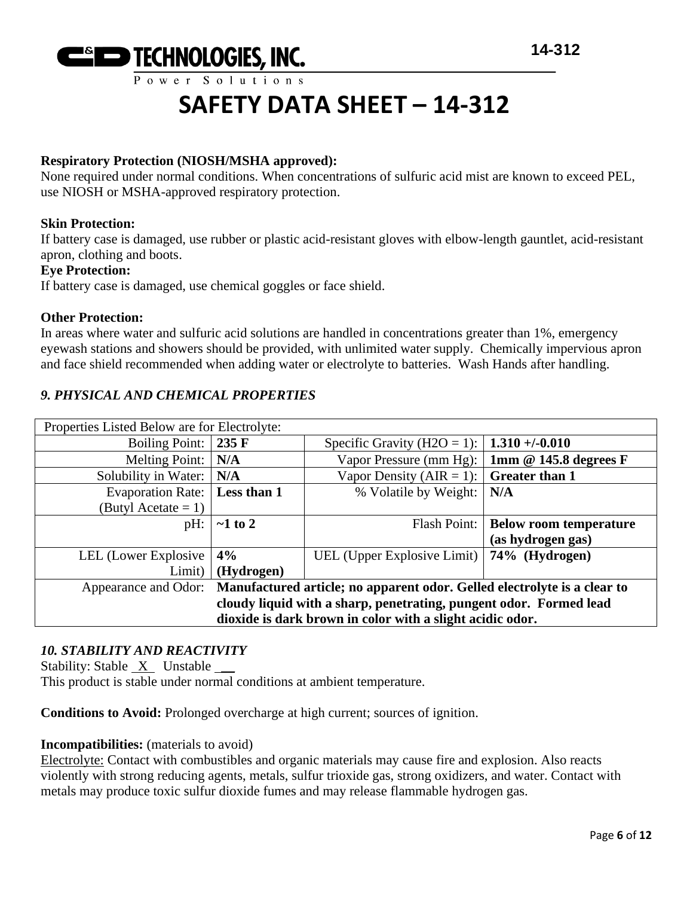

#### **Respiratory Protection (NIOSH/MSHA approved):**

None required under normal conditions. When concentrations of sulfuric acid mist are known to exceed PEL, use NIOSH or MSHA-approved respiratory protection.

#### **Skin Protection:**

If battery case is damaged, use rubber or plastic acid-resistant gloves with elbow-length gauntlet, acid-resistant apron, clothing and boots.

#### **Eye Protection:**

If battery case is damaged, use chemical goggles or face shield.

#### **Other Protection:**

In areas where water and sulfuric acid solutions are handled in concentrations greater than 1%, emergency eyewash stations and showers should be provided, with unlimited water supply. Chemically impervious apron and face shield recommended when adding water or electrolyte to batteries. Wash Hands after handling.

#### *9. PHYSICAL AND CHEMICAL PROPERTIES*

| Properties Listed Below are for Electrolyte:                                                  |               |                             |                               |
|-----------------------------------------------------------------------------------------------|---------------|-----------------------------|-------------------------------|
| Boiling Point:                                                                                | 235 F         | Specific Gravity (H2O = 1): | $1.310 + (-0.010$             |
| <b>Melting Point:</b>                                                                         | N/A           | Vapor Pressure (mm Hg):     | 1mm @ 145.8 degrees F         |
| Solubility in Water:                                                                          | N/A           | Vapor Density (AIR = 1):    | <b>Greater than 1</b>         |
| <b>Evaporation Rate:</b>                                                                      | Less than 1   | % Volatile by Weight:       | N/A                           |
| (Butyl Acetate $= 1$ )                                                                        |               |                             |                               |
| $pH$ :                                                                                        | $\sim$ 1 to 2 | Flash Point:                | <b>Below room temperature</b> |
|                                                                                               |               |                             | (as hydrogen gas)             |
| LEL (Lower Explosive)                                                                         | 4%            | UEL (Upper Explosive Limit) | 74% (Hydrogen)                |
| (Hydrogen)<br>Limit)                                                                          |               |                             |                               |
| Appearance and Odor: Manufactured article; no apparent odor. Gelled electrolyte is a clear to |               |                             |                               |
| cloudy liquid with a sharp, penetrating, pungent odor. Formed lead                            |               |                             |                               |
| dioxide is dark brown in color with a slight acidic odor.                                     |               |                             |                               |

#### *10. STABILITY AND REACTIVITY*

Stability: Stable  $X$  Unstable  $\_\_\_\$ 

This product is stable under normal conditions at ambient temperature.

**Conditions to Avoid:** Prolonged overcharge at high current; sources of ignition.

#### **Incompatibilities:** (materials to avoid)

Electrolyte: Contact with combustibles and organic materials may cause fire and explosion. Also reacts violently with strong reducing agents, metals, sulfur trioxide gas, strong oxidizers, and water. Contact with metals may produce toxic sulfur dioxide fumes and may release flammable hydrogen gas.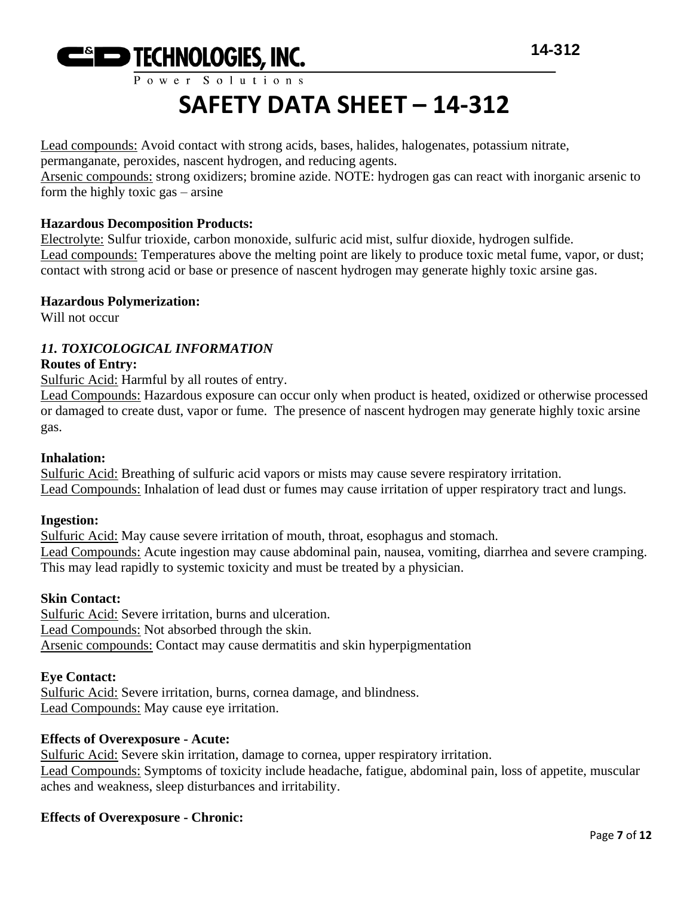

Lead compounds: Avoid contact with strong acids, bases, halides, halogenates, potassium nitrate, permanganate, peroxides, nascent hydrogen, and reducing agents.

Arsenic compounds: strong oxidizers; bromine azide. NOTE: hydrogen gas can react with inorganic arsenic to form the highly toxic gas – arsine

#### **Hazardous Decomposition Products:**

Electrolyte: Sulfur trioxide, carbon monoxide, sulfuric acid mist, sulfur dioxide, hydrogen sulfide. Lead compounds: Temperatures above the melting point are likely to produce toxic metal fume, vapor, or dust; contact with strong acid or base or presence of nascent hydrogen may generate highly toxic arsine gas.

#### **Hazardous Polymerization:**

Will not occur

#### *11. TOXICOLOGICAL INFORMATION*

#### **Routes of Entry:**

Sulfuric Acid: Harmful by all routes of entry.

Lead Compounds: Hazardous exposure can occur only when product is heated, oxidized or otherwise processed or damaged to create dust, vapor or fume. The presence of nascent hydrogen may generate highly toxic arsine gas.

#### **Inhalation:**

Sulfuric Acid: Breathing of sulfuric acid vapors or mists may cause severe respiratory irritation. Lead Compounds: Inhalation of lead dust or fumes may cause irritation of upper respiratory tract and lungs.

#### **Ingestion:**

Sulfuric Acid: May cause severe irritation of mouth, throat, esophagus and stomach. Lead Compounds: Acute ingestion may cause abdominal pain, nausea, vomiting, diarrhea and severe cramping. This may lead rapidly to systemic toxicity and must be treated by a physician.

#### **Skin Contact:**

Sulfuric Acid: Severe irritation, burns and ulceration. Lead Compounds: Not absorbed through the skin. Arsenic compounds: Contact may cause dermatitis and skin hyperpigmentation

#### **Eye Contact:**

Sulfuric Acid: Severe irritation, burns, cornea damage, and blindness. Lead Compounds: May cause eye irritation.

#### **Effects of Overexposure - Acute:**

Sulfuric Acid: Severe skin irritation, damage to cornea, upper respiratory irritation. Lead Compounds: Symptoms of toxicity include headache, fatigue, abdominal pain, loss of appetite, muscular aches and weakness, sleep disturbances and irritability.

#### **Effects of Overexposure - Chronic:**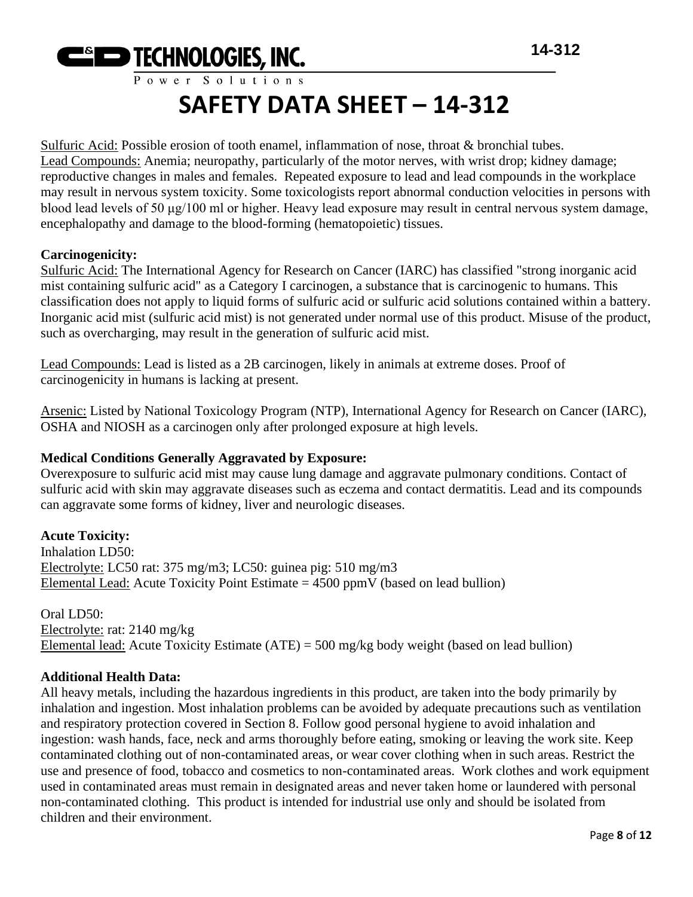

Sulfuric Acid: Possible erosion of tooth enamel, inflammation of nose, throat & bronchial tubes. Lead Compounds: Anemia; neuropathy, particularly of the motor nerves, with wrist drop; kidney damage; reproductive changes in males and females. Repeated exposure to lead and lead compounds in the workplace may result in nervous system toxicity. Some toxicologists report abnormal conduction velocities in persons with blood lead levels of 50 μg/100 ml or higher. Heavy lead exposure may result in central nervous system damage, encephalopathy and damage to the blood-forming (hematopoietic) tissues.

#### **Carcinogenicity:**

Sulfuric Acid: The International Agency for Research on Cancer (IARC) has classified "strong inorganic acid mist containing sulfuric acid" as a Category I carcinogen, a substance that is carcinogenic to humans. This classification does not apply to liquid forms of sulfuric acid or sulfuric acid solutions contained within a battery. Inorganic acid mist (sulfuric acid mist) is not generated under normal use of this product. Misuse of the product, such as overcharging, may result in the generation of sulfuric acid mist.

Lead Compounds: Lead is listed as a 2B carcinogen, likely in animals at extreme doses. Proof of carcinogenicity in humans is lacking at present.

Arsenic: Listed by National Toxicology Program (NTP), International Agency for Research on Cancer (IARC), OSHA and NIOSH as a carcinogen only after prolonged exposure at high levels.

#### **Medical Conditions Generally Aggravated by Exposure:**

Overexposure to sulfuric acid mist may cause lung damage and aggravate pulmonary conditions. Contact of sulfuric acid with skin may aggravate diseases such as eczema and contact dermatitis. Lead and its compounds can aggravate some forms of kidney, liver and neurologic diseases.

#### **Acute Toxicity:**

Inhalation LD50: Electrolyte: LC50 rat: 375 mg/m3; LC50: guinea pig: 510 mg/m3 Elemental Lead: Acute Toxicity Point Estimate  $= 4500$  ppmV (based on lead bullion)

Oral LD50: Electrolyte: rat: 2140 mg/kg Elemental lead: Acute Toxicity Estimate (ATE) = 500 mg/kg body weight (based on lead bullion)

#### **Additional Health Data:**

All heavy metals, including the hazardous ingredients in this product, are taken into the body primarily by inhalation and ingestion. Most inhalation problems can be avoided by adequate precautions such as ventilation and respiratory protection covered in Section 8. Follow good personal hygiene to avoid inhalation and ingestion: wash hands, face, neck and arms thoroughly before eating, smoking or leaving the work site. Keep contaminated clothing out of non-contaminated areas, or wear cover clothing when in such areas. Restrict the use and presence of food, tobacco and cosmetics to non-contaminated areas. Work clothes and work equipment used in contaminated areas must remain in designated areas and never taken home or laundered with personal non-contaminated clothing. This product is intended for industrial use only and should be isolated from children and their environment.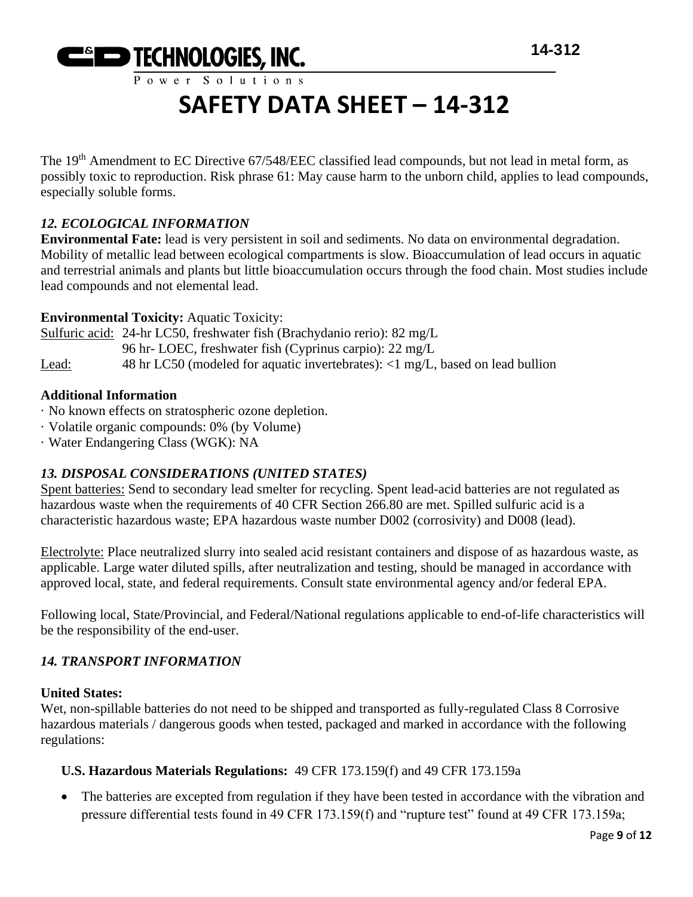# **Example 14-312** TECHNOLOGIES, INC. 14-312

Power Solutions

### **SAFETY DATA SHEET – 14-312**

The 19<sup>th</sup> Amendment to EC Directive 67/548/EEC classified lead compounds, but not lead in metal form, as possibly toxic to reproduction. Risk phrase 61: May cause harm to the unborn child, applies to lead compounds, especially soluble forms.

### *12. ECOLOGICAL INFORMATION*

**Environmental Fate:** lead is very persistent in soil and sediments. No data on environmental degradation. Mobility of metallic lead between ecological compartments is slow. Bioaccumulation of lead occurs in aquatic and terrestrial animals and plants but little bioaccumulation occurs through the food chain. Most studies include lead compounds and not elemental lead.

#### **Environmental Toxicity:** Aquatic Toxicity:

Sulfuric acid: 24-hr LC50, freshwater fish (Brachydanio rerio): 82 mg/L 96 hr- LOEC, freshwater fish (Cyprinus carpio): 22 mg/L Lead: 48 hr LC50 (modeled for aquatic invertebrates): <1 mg/L, based on lead bullion

#### **Additional Information**

- · No known effects on stratospheric ozone depletion.
- · Volatile organic compounds: 0% (by Volume)
- · Water Endangering Class (WGK): NA

#### *13. DISPOSAL CONSIDERATIONS (UNITED STATES)*

Spent batteries: Send to secondary lead smelter for recycling. Spent lead-acid batteries are not regulated as hazardous waste when the requirements of 40 CFR Section 266.80 are met. Spilled sulfuric acid is a characteristic hazardous waste; EPA hazardous waste number D002 (corrosivity) and D008 (lead).

Electrolyte: Place neutralized slurry into sealed acid resistant containers and dispose of as hazardous waste, as applicable. Large water diluted spills, after neutralization and testing, should be managed in accordance with approved local, state, and federal requirements. Consult state environmental agency and/or federal EPA.

Following local, State/Provincial, and Federal/National regulations applicable to end-of-life characteristics will be the responsibility of the end-user.

#### *14. TRANSPORT INFORMATION*

#### **United States:**

Wet, non-spillable batteries do not need to be shipped and transported as fully-regulated Class 8 Corrosive hazardous materials / dangerous goods when tested, packaged and marked in accordance with the following regulations:

#### **U.S. Hazardous Materials Regulations:** 49 CFR 173.159(f) and 49 CFR 173.159a

• The batteries are excepted from regulation if they have been tested in accordance with the vibration and pressure differential tests found in 49 CFR 173.159(f) and "rupture test" found at 49 CFR 173.159a;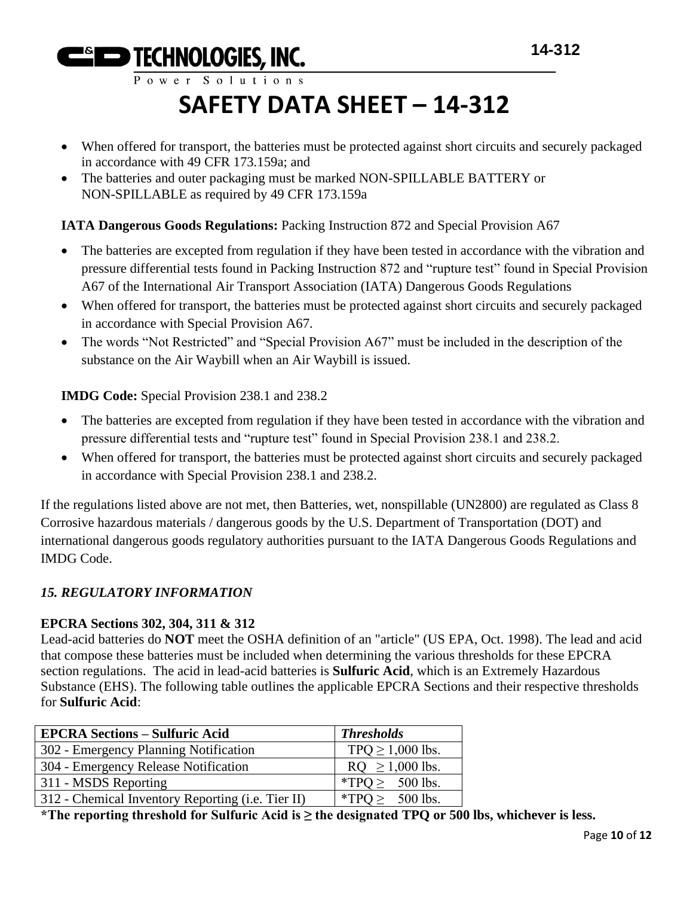Power Solutions

# **SAFETY DATA SHEET – 14-312**

- When offered for transport, the batteries must be protected against short circuits and securely packaged in accordance with 49 CFR 173.159a; and
- The batteries and outer packaging must be marked NON-SPILLABLE BATTERY or NON-SPILLABLE as required by 49 CFR 173.159a

#### **IATA Dangerous Goods Regulations:** Packing Instruction 872 and Special Provision A67

- The batteries are excepted from regulation if they have been tested in accordance with the vibration and pressure differential tests found in Packing Instruction 872 and "rupture test" found in Special Provision A67 of the International Air Transport Association (IATA) Dangerous Goods Regulations
- When offered for transport, the batteries must be protected against short circuits and securely packaged in accordance with Special Provision A67.
- The words "Not Restricted" and "Special Provision A67" must be included in the description of the substance on the Air Waybill when an Air Waybill is issued.

**IMDG Code:** Special Provision 238.1 and 238.2

- The batteries are excepted from regulation if they have been tested in accordance with the vibration and pressure differential tests and "rupture test" found in Special Provision 238.1 and 238.2.
- When offered for transport, the batteries must be protected against short circuits and securely packaged in accordance with Special Provision 238.1 and 238.2.

If the regulations listed above are not met, then Batteries, wet, nonspillable (UN2800) are regulated as Class 8 Corrosive hazardous materials / dangerous goods by the U.S. Department of Transportation (DOT) and international dangerous goods regulatory authorities pursuant to the IATA Dangerous Goods Regulations and IMDG Code.

#### *15. REGULATORY INFORMATION*

#### **EPCRA Sections 302, 304, 311 & 312**

Lead-acid batteries do **NOT** meet the OSHA definition of an "article" (US EPA, Oct. 1998). The lead and acid that compose these batteries must be included when determining the various thresholds for these EPCRA section regulations. The acid in lead-acid batteries is **Sulfuric Acid**, which is an Extremely Hazardous Substance (EHS). The following table outlines the applicable EPCRA Sections and their respective thresholds for **Sulfuric Acid**:

| <b>EPCRA Sections – Sulfuric Acid</b>             | <b>Thresholds</b>     |
|---------------------------------------------------|-----------------------|
| 302 - Emergency Planning Notification             | TPQ $\geq$ 1,000 lbs. |
| 304 - Emergency Release Notification              | $RQ \ge 1,000$ lbs.   |
| 311 - MSDS Reporting                              | *TPQ $\geq$ 500 lbs.  |
| 312 - Chemical Inventory Reporting (i.e. Tier II) | *TPQ $\geq$ 500 lbs.  |

**\*The reporting threshold for Sulfuric Acid is ≥ the designated TPQ or 500 lbs, whichever is less.**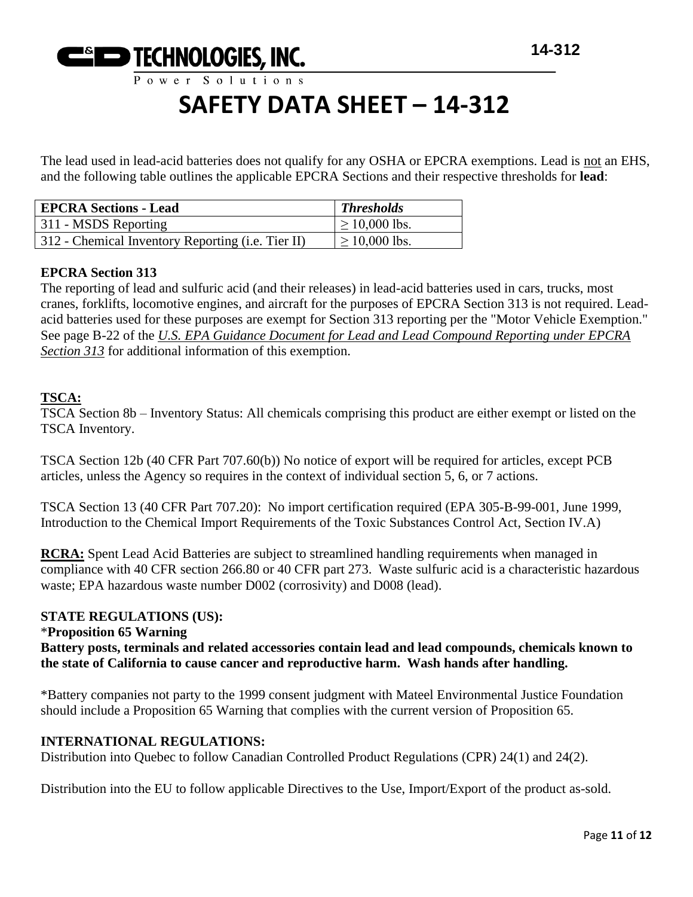

The lead used in lead-acid batteries does not qualify for any OSHA or EPCRA exemptions. Lead is not an EHS, and the following table outlines the applicable EPCRA Sections and their respective thresholds for **lead**:

| <b>EPCRA Sections - Lead</b>                      | <b>Thresholds</b>  |
|---------------------------------------------------|--------------------|
| 311 - MSDS Reporting                              | $\geq 10,000$ lbs. |
| 312 - Chemical Inventory Reporting (i.e. Tier II) | $\geq 10,000$ lbs. |

#### **EPCRA Section 313**

The reporting of lead and sulfuric acid (and their releases) in lead-acid batteries used in cars, trucks, most cranes, forklifts, locomotive engines, and aircraft for the purposes of EPCRA Section 313 is not required. Leadacid batteries used for these purposes are exempt for Section 313 reporting per the "Motor Vehicle Exemption." See page B-22 of the *U.S. EPA Guidance Document for Lead and Lead Compound Reporting under EPCRA Section 313* for additional information of this exemption.

#### **TSCA:**

TSCA Section 8b – Inventory Status: All chemicals comprising this product are either exempt or listed on the TSCA Inventory.

TSCA Section 12b (40 CFR Part 707.60(b)) No notice of export will be required for articles, except PCB articles, unless the Agency so requires in the context of individual section 5, 6, or 7 actions.

TSCA Section 13 (40 CFR Part 707.20): No import certification required (EPA 305-B-99-001, June 1999, Introduction to the Chemical Import Requirements of the Toxic Substances Control Act, Section IV.A)

**RCRA:** Spent Lead Acid Batteries are subject to streamlined handling requirements when managed in compliance with 40 CFR section 266.80 or 40 CFR part 273. Waste sulfuric acid is a characteristic hazardous waste; EPA hazardous waste number D002 (corrosivity) and D008 (lead).

#### **STATE REGULATIONS (US):**

#### \***Proposition 65 Warning**

**Battery posts, terminals and related accessories contain lead and lead compounds, chemicals known to the state of California to cause cancer and reproductive harm. Wash hands after handling.**

\*Battery companies not party to the 1999 consent judgment with Mateel Environmental Justice Foundation should include a Proposition 65 Warning that complies with the current version of Proposition 65.

#### **INTERNATIONAL REGULATIONS:**

Distribution into Quebec to follow Canadian Controlled Product Regulations (CPR) 24(1) and 24(2).

Distribution into the EU to follow applicable Directives to the Use, Import/Export of the product as-sold.